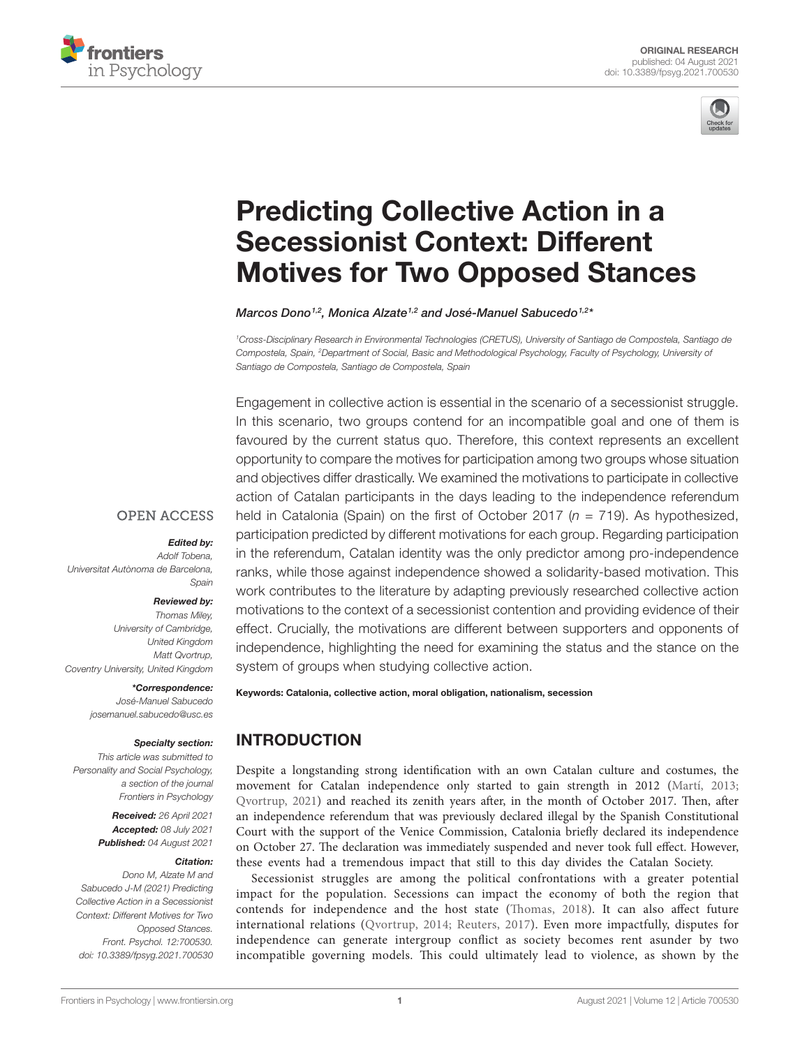



# [Predicting Collective Action in a](https://www.frontiersin.org/articles/10.3389/fpsyg.2021.700530/full)  [Secessionist Context: Different](https://www.frontiersin.org/articles/10.3389/fpsyg.2021.700530/full)  [Motives for Two Opposed Stances](https://www.frontiersin.org/articles/10.3389/fpsyg.2021.700530/full)

*Marcos Dono1,2 , Monica Alzate1,2 and José-Manuel Sabucedo1,2 \**

*1 Cross-Disciplinary Research in Environmental Technologies (CRETUS), University of Santiago de Compostela, Santiago de Compostela, Spain, 2 Department of Social, Basic and Methodological Psychology, Faculty of Psychology, University of Santiago de Compostela, Santiago de Compostela, Spain*

Engagement in collective action is essential in the scenario of a secessionist struggle. In this scenario, two groups contend for an incompatible goal and one of them is favoured by the current status quo. Therefore, this context represents an excellent opportunity to compare the motives for participation among two groups whose situation and objectives differ drastically. We examined the motivations to participate in collective action of Catalan participants in the days leading to the independence referendum held in Catalonia (Spain) on the first of October 2017 (*n* = 719). As hypothesized, participation predicted by different motivations for each group. Regarding participation in the referendum, Catalan identity was the only predictor among pro-independence ranks, while those against independence showed a solidarity-based motivation. This work contributes to the literature by adapting previously researched collective action motivations to the context of a secessionist contention and providing evidence of their effect. Crucially, the motivations are different between supporters and opponents of independence, highlighting the need for examining the status and the stance on the system of groups when studying collective action.

#### Keywords: Catalonia, collective action, moral obligation, nationalism, secession

*\*Correspondence: José-Manuel Sabucedo [josemanuel.sabucedo@usc.es](mailto:josemanuel.sabucedo@usc.es)*

*Coventry University, United Kingdom*

*Universitat Autònoma de Barcelona,* 

#### *Specialty section:*

*Edited by: Adolf Tobena,* 

**OPEN ACCESS** 

*Spain Reviewed by: Thomas Miley, University of Cambridge, United Kingdom Matt Qvortrup,* 

*This article was submitted to Personality and Social Psychology, a section of the journal Frontiers in Psychology*

> *Received: 26 April 2021 Accepted: 08 July 2021 Published: 04 August 2021*

#### *Citation:*

*Dono M, Alzate M and Sabucedo J-M (2021) Predicting Collective Action in a Secessionist Context: Different Motives for Two Opposed Stances. Front. Psychol. 12:700530. [doi: 10.3389/fpsyg.2021.700530](https://doi.org/10.3389/fpsyg.2021.700530)* INTRODUCTION

Despite a longstanding strong identification with an own Catalan culture and costumes, the movement for Catalan independence only started to gain strength in 2012 [\(Martí, 2013;](#page-7-0) [Qvortrup, 2021](#page-7-1)) and reached its zenith years after, in the month of October 2017. Then, after an independence referendum that was previously declared illegal by the Spanish Constitutional Court with the support of the Venice Commission, Catalonia briefly declared its independence on October 27. The declaration was immediately suspended and never took full effect. However, these events had a tremendous impact that still to this day divides the Catalan Society.

Secessionist struggles are among the political confrontations with a greater potential impact for the population. Secessions can impact the economy of both the region that contends for independence and the host state ([Thomas, 2018](#page-7-2)). It can also affect future international relations ([Qvortrup, 2014](#page-7-3); [Reuters, 2017\)](#page-7-4). Even more impactfully, disputes for independence can generate intergroup conflict as society becomes rent asunder by two incompatible governing models. This could ultimately lead to violence, as shown by the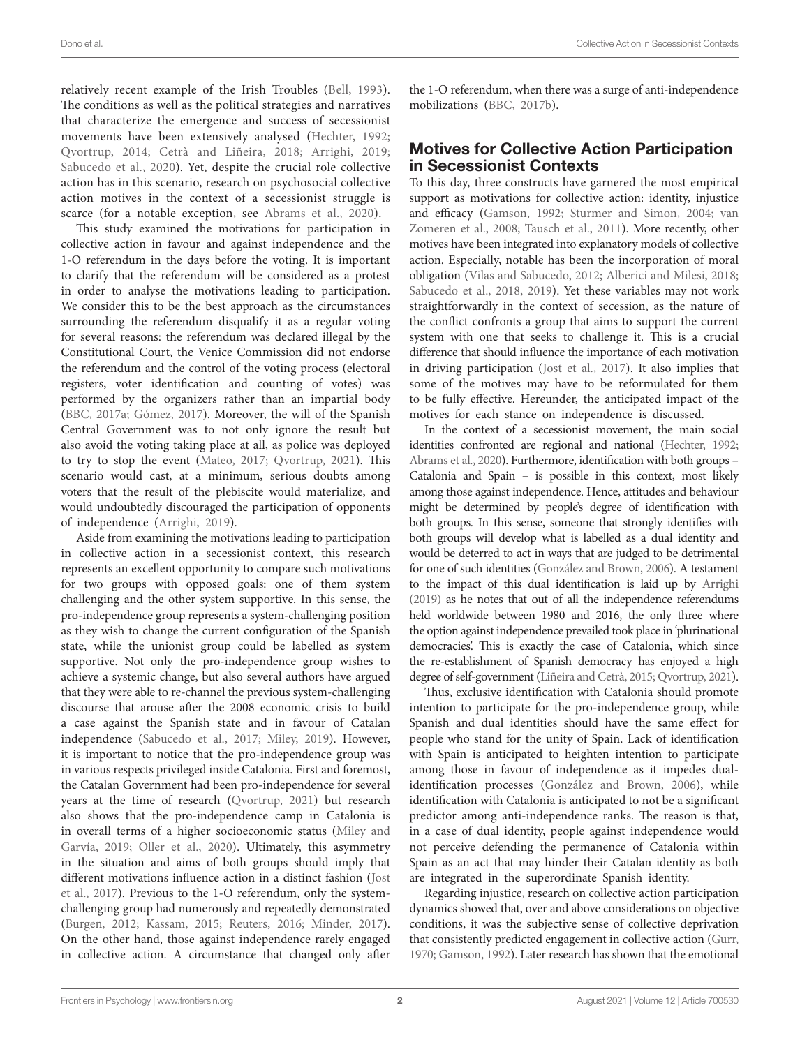relatively recent example of the Irish Troubles [\(Bell, 1993\)](#page-6-0). The conditions as well as the political strategies and narratives that characterize the emergence and success of secessionist movements have been extensively analysed ([Hechter, 1992](#page-7-5); [Qvortrup, 2014;](#page-7-3) [Cetrà and Liñeira, 2018](#page-6-1); [Arrighi, 2019](#page-6-2); Sabucedo et al., 2020). Yet, despite the crucial role collective action has in this scenario, research on psychosocial collective action motives in the context of a secessionist struggle is scarce (for a notable exception, see [Abrams et al., 2020](#page-6-3)).

This study examined the motivations for participation in collective action in favour and against independence and the 1-O referendum in the days before the voting. It is important to clarify that the referendum will be considered as a protest in order to analyse the motivations leading to participation. We consider this to be the best approach as the circumstances surrounding the referendum disqualify it as a regular voting for several reasons: the referendum was declared illegal by the Constitutional Court, the Venice Commission did not endorse the referendum and the control of the voting process (electoral registers, voter identification and counting of votes) was performed by the organizers rather than an impartial body ([BBC, 2017a](#page-6-4); [Gómez, 2017\)](#page-7-7). Moreover, the will of the Spanish Central Government was to not only ignore the result but also avoid the voting taking place at all, as police was deployed to try to stop the event [\(Mateo, 2017](#page-7-8); [Qvortrup, 2021\)](#page-7-1). This scenario would cast, at a minimum, serious doubts among voters that the result of the plebiscite would materialize, and would undoubtedly discouraged the participation of opponents of independence [\(Arrighi, 2019](#page-6-2)).

Aside from examining the motivations leading to participation in collective action in a secessionist context, this research represents an excellent opportunity to compare such motivations for two groups with opposed goals: one of them system challenging and the other system supportive. In this sense, the pro-independence group represents a system-challenging position as they wish to change the current configuration of the Spanish state, while the unionist group could be labelled as system supportive. Not only the pro-independence group wishes to achieve a systemic change, but also several authors have argued that they were able to re-channel the previous system-challenging discourse that arouse after the 2008 economic crisis to build a case against the Spanish state and in favour of Catalan independence [\(Sabucedo et al., 2017](#page-7-9); [Miley, 2019\)](#page-7-10). However, it is important to notice that the pro-independence group was in various respects privileged inside Catalonia. First and foremost, the Catalan Government had been pro-independence for several years at the time of research [\(Qvortrup, 2021\)](#page-7-1) but research also shows that the pro-independence camp in Catalonia is in overall terms of a higher socioeconomic status [\(Miley and](#page-7-11)  [Garvía, 2019](#page-7-11); [Oller et al., 2020\)](#page-7-12). Ultimately, this asymmetry in the situation and aims of both groups should imply that different motivations influence action in a distinct fashion ([Jost](#page-7-13)  [et al., 2017\)](#page-7-13). Previous to the 1-O referendum, only the systemchallenging group had numerously and repeatedly demonstrated ([Burgen, 2012;](#page-6-5) [Kassam, 2015](#page-7-14); [Reuters, 2016;](#page-7-15) [Minder, 2017](#page-7-16)). On the other hand, those against independence rarely engaged in collective action. A circumstance that changed only after the 1-O referendum, when there was a surge of anti-independence mobilizations ([BBC, 2017b\)](#page-6-6).

## Motives for Collective Action Participation in Secessionist Contexts

To this day, three constructs have garnered the most empirical support as motivations for collective action: identity, injustice and efficacy [\(Gamson, 1992;](#page-7-17) [Sturmer and Simon, 2004](#page-7-18); [van](#page-7-19)  [Zomeren et al., 2008](#page-7-19); [Tausch et al., 2011\)](#page-7-20). More recently, other motives have been integrated into explanatory models of collective action. Especially, notable has been the incorporation of moral obligation ([Vilas and Sabucedo, 2012](#page-8-0); [Alberici and Milesi, 2018;](#page-6-7) Sabucedo et al., 2018, [2019](#page-7-22)). Yet these variables may not work straightforwardly in the context of secession, as the nature of the conflict confronts a group that aims to support the current system with one that seeks to challenge it. This is a crucial difference that should influence the importance of each motivation in driving participation [\(Jost et al., 2017\)](#page-7-13). It also implies that some of the motives may have to be reformulated for them to be fully effective. Hereunder, the anticipated impact of the motives for each stance on independence is discussed.

In the context of a secessionist movement, the main social identities confronted are regional and national [\(Hechter, 1992;](#page-7-5) [Abrams et al., 2020](#page-6-3)). Furthermore, identification with both groups – Catalonia and Spain – is possible in this context, most likely among those against independence. Hence, attitudes and behaviour might be determined by people's degree of identification with both groups. In this sense, someone that strongly identifies with both groups will develop what is labelled as a dual identity and would be deterred to act in ways that are judged to be detrimental for one of such identities [\(González and Brown, 2006](#page-7-23)). A testament to the impact of this dual identification is laid up by [Arrighi](#page-6-2)  [\(2019\)](#page-6-2) as he notes that out of all the independence referendums held worldwide between 1980 and 2016, the only three where the option against independence prevailed took place in 'plurinational democracies'. This is exactly the case of Catalonia, which since the re-establishment of Spanish democracy has enjoyed a high degree of self-government [\(Liñeira and Cetrà, 2015;](#page-7-24) [Qvortrup, 2021\)](#page-7-1).

Thus, exclusive identification with Catalonia should promote intention to participate for the pro-independence group, while Spanish and dual identities should have the same effect for people who stand for the unity of Spain. Lack of identification with Spain is anticipated to heighten intention to participate among those in favour of independence as it impedes dualidentification processes ([González and Brown, 2006](#page-7-23)), while identification with Catalonia is anticipated to not be a significant predictor among anti-independence ranks. The reason is that, in a case of dual identity, people against independence would not perceive defending the permanence of Catalonia within Spain as an act that may hinder their Catalan identity as both are integrated in the superordinate Spanish identity.

Regarding injustice, research on collective action participation dynamics showed that, over and above considerations on objective conditions, it was the subjective sense of collective deprivation that consistently predicted engagement in collective action ([Gurr,](#page-7-25)  [1970;](#page-7-25) [Gamson, 1992\)](#page-7-17). Later research has shown that the emotional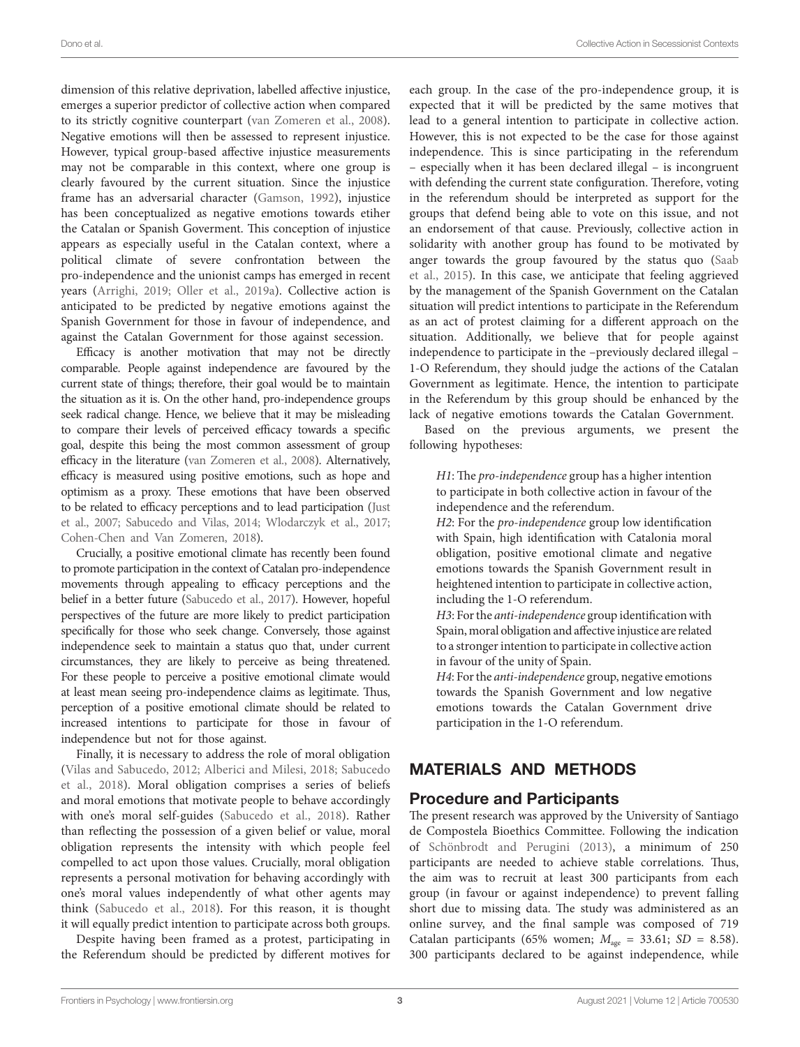dimension of this relative deprivation, labelled affective injustice, emerges a superior predictor of collective action when compared to its strictly cognitive counterpart [\(van Zomeren et al., 2008](#page-7-19)). Negative emotions will then be assessed to represent injustice. However, typical group-based affective injustice measurements may not be comparable in this context, where one group is clearly favoured by the current situation. Since the injustice frame has an adversarial character [\(Gamson, 1992\)](#page-7-17), injustice has been conceptualized as negative emotions towards etiher the Catalan or Spanish Goverment. This conception of injustice appears as especially useful in the Catalan context, where a political climate of severe confrontation between the pro-independence and the unionist camps has emerged in recent years [\(Arrighi, 2019](#page-6-2); [Oller et al., 2019a](#page-7-26)). Collective action is anticipated to be predicted by negative emotions against the Spanish Government for those in favour of independence, and against the Catalan Government for those against secession.

Efficacy is another motivation that may not be directly comparable. People against independence are favoured by the current state of things; therefore, their goal would be to maintain the situation as it is. On the other hand, pro-independence groups seek radical change. Hence, we believe that it may be misleading to compare their levels of perceived efficacy towards a specific goal, despite this being the most common assessment of group efficacy in the literature [\(van Zomeren et al., 2008](#page-7-19)). Alternatively, efficacy is measured using positive emotions, such as hope and optimism as a proxy. These emotions that have been observed to be related to efficacy perceptions and to lead participation ([Just](#page-7-27)  [et al., 2007;](#page-7-27) [Sabucedo and Vilas, 2014;](#page-7-28) [Wlodarczyk et al., 2017](#page-8-1); [Cohen-Chen and Van Zomeren, 2018\)](#page-7-29).

Crucially, a positive emotional climate has recently been found to promote participation in the context of Catalan pro-independence movements through appealing to efficacy perceptions and the belief in a better future [\(Sabucedo et al., 2017\)](#page-7-9). However, hopeful perspectives of the future are more likely to predict participation specifically for those who seek change. Conversely, those against independence seek to maintain a status quo that, under current circumstances, they are likely to perceive as being threatened. For these people to perceive a positive emotional climate would at least mean seeing pro-independence claims as legitimate. Thus, perception of a positive emotional climate should be related to increased intentions to participate for those in favour of independence but not for those against.

Finally, it is necessary to address the role of moral obligation ([Vilas and Sabucedo, 2012;](#page-8-0) [Alberici and Milesi, 2018](#page-6-7); [Sabucedo](#page-7-21)  [et al., 2018\)](#page-7-21). Moral obligation comprises a series of beliefs and moral emotions that motivate people to behave accordingly with one's moral self-guides [\(Sabucedo et al., 2018](#page-7-21)). Rather than reflecting the possession of a given belief or value, moral obligation represents the intensity with which people feel compelled to act upon those values. Crucially, moral obligation represents a personal motivation for behaving accordingly with one's moral values independently of what other agents may think ([Sabucedo et al., 2018\)](#page-7-21). For this reason, it is thought it will equally predict intention to participate across both groups.

Despite having been framed as a protest, participating in the Referendum should be predicted by different motives for

each group. In the case of the pro-independence group, it is expected that it will be predicted by the same motives that lead to a general intention to participate in collective action. However, this is not expected to be the case for those against independence. This is since participating in the referendum – especially when it has been declared illegal – is incongruent with defending the current state configuration. Therefore, voting in the referendum should be interpreted as support for the groups that defend being able to vote on this issue, and not an endorsement of that cause. Previously, collective action in solidarity with another group has found to be motivated by anger towards the group favoured by the status quo [\(Saab](#page-7-30)  [et al., 2015\)](#page-7-30). In this case, we anticipate that feeling aggrieved by the management of the Spanish Government on the Catalan situation will predict intentions to participate in the Referendum as an act of protest claiming for a different approach on the situation. Additionally, we believe that for people against independence to participate in the –previously declared illegal – 1-O Referendum, they should judge the actions of the Catalan Government as legitimate. Hence, the intention to participate in the Referendum by this group should be enhanced by the lack of negative emotions towards the Catalan Government.

Based on the previous arguments, we present the following hypotheses:

*H1*: The *pro-independence* group has a higher intention to participate in both collective action in favour of the independence and the referendum.

*H2*: For the *pro-independence* group low identification with Spain, high identification with Catalonia moral obligation, positive emotional climate and negative emotions towards the Spanish Government result in heightened intention to participate in collective action, including the 1-O referendum.

*H3*: For the *anti-independence* group identification with Spain, moral obligation and affective injustice are related to a stronger intention to participate in collective action in favour of the unity of Spain.

*H4*: For the *anti-independence* group, negative emotions towards the Spanish Government and low negative emotions towards the Catalan Government drive participation in the 1-O referendum.

# MATERIALS AND METHODS

## Procedure and Participants

The present research was approved by the University of Santiago de Compostela Bioethics Committee. Following the indication of [Schönbrodt and Perugini \(2013\)](#page-7-31), a minimum of 250 participants are needed to achieve stable correlations. Thus, the aim was to recruit at least 300 participants from each group (in favour or against independence) to prevent falling short due to missing data. The study was administered as an online survey, and the final sample was composed of 719 Catalan participants (65% women;  $M_{\text{age}} = 33.61$ ;  $SD = 8.58$ ). 300 participants declared to be against independence, while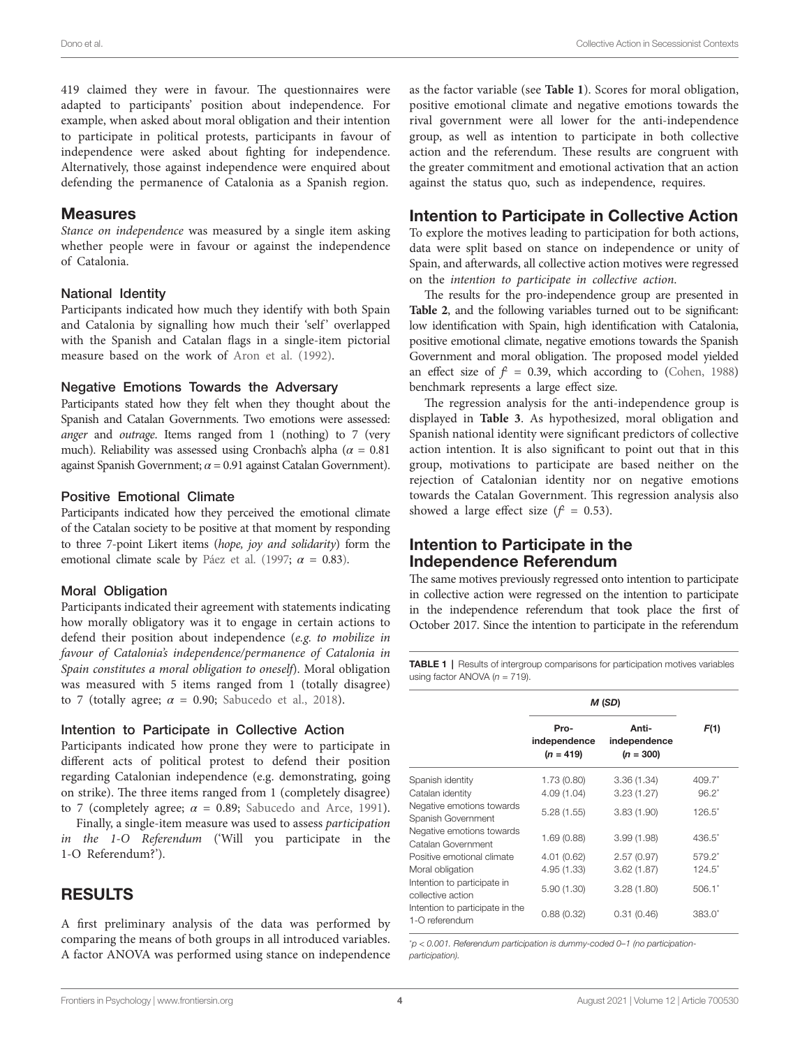419 claimed they were in favour. The questionnaires were adapted to participants' position about independence. For example, when asked about moral obligation and their intention to participate in political protests, participants in favour of independence were asked about fighting for independence. Alternatively, those against independence were enquired about defending the permanence of Catalonia as a Spanish region.

#### Measures

*Stance on independence* was measured by a single item asking whether people were in favour or against the independence of Catalonia.

#### National Identity

Participants indicated how much they identify with both Spain and Catalonia by signalling how much their 'self' overlapped with the Spanish and Catalan flags in a single-item pictorial measure based on the work of [Aron et al. \(1992\).](#page-6-8)

#### Negative Emotions Towards the Adversary

Participants stated how they felt when they thought about the Spanish and Catalan Governments. Two emotions were assessed: *anger* and *outrage*. Items ranged from 1 (nothing) to 7 (very much). Reliability was assessed using Cronbach's alpha ( $\alpha = 0.81$ against Spanish Government;  $\alpha$  = 0.91 against Catalan Government).

#### Positive Emotional Climate

Participants indicated how they perceived the emotional climate of the Catalan society to be positive at that moment by responding to three 7-point Likert items (*hope, joy and solidarity*) form the emotional climate scale by Páez et al. (1997;  $\alpha = 0.83$ ).

#### Moral Obligation

Participants indicated their agreement with statements indicating how morally obligatory was it to engage in certain actions to defend their position about independence (*e.g. to mobilize in favour of Catalonia's independence/permanence of Catalonia in Spain constitutes a moral obligation to oneself*). Moral obligation was measured with 5 items ranged from 1 (totally disagree) to 7 (totally agree;  $\alpha = 0.90$ ; Sabucedo et al., 2018).

#### Intention to Participate in Collective Action

Participants indicated how prone they were to participate in different acts of political protest to defend their position regarding Catalonian independence (e.g. demonstrating, going on strike). The three items ranged from 1 (completely disagree) to 7 (completely agree;  $\alpha = 0.89$ ; [Sabucedo and Arce, 1991](#page-7-33)).

Finally, a single-item measure was used to assess *participation in the 1-O Referendum* ('Will you participate in the 1-O Referendum?').

## RESULTS

A first preliminary analysis of the data was performed by comparing the means of both groups in all introduced variables. A factor ANOVA was performed using stance on independence

as the factor variable (see **[Table 1](#page-3-0)**). Scores for moral obligation, positive emotional climate and negative emotions towards the rival government were all lower for the anti-independence group, as well as intention to participate in both collective action and the referendum. These results are congruent with the greater commitment and emotional activation that an action against the status quo, such as independence, requires.

### Intention to Participate in Collective Action

To explore the motives leading to participation for both actions, data were split based on stance on independence or unity of Spain, and afterwards, all collective action motives were regressed on the *intention to participate in collective action*.

The results for the pro-independence group are presented in **[Table 2](#page-4-0)**, and the following variables turned out to be significant: low identification with Spain, high identification with Catalonia, positive emotional climate, negative emotions towards the Spanish Government and moral obligation. The proposed model yielded an effect size of  $f = 0.39$ , which according to ([Cohen, 1988\)](#page-7-34) benchmark represents a large effect size.

The regression analysis for the anti-independence group is displayed in **[Table 3](#page-4-1)**. As hypothesized, moral obligation and Spanish national identity were significant predictors of collective action intention. It is also significant to point out that in this group, motivations to participate are based neither on the rejection of Catalonian identity nor on negative emotions towards the Catalan Government. This regression analysis also showed a large effect size  $(f^2 = 0.53)$ .

## Intention to Participate in the Independence Referendum

The same motives previously regressed onto intention to participate in collective action were regressed on the intention to participate in the independence referendum that took place the first of October 2017. Since the intention to participate in the referendum

<span id="page-3-0"></span>**TABLE 1** | Results of intergroup comparisons for participation motives variables using factor ANOVA (*n* = 719).

|                                                   | M (SD)                              |                                      |           |
|---------------------------------------------------|-------------------------------------|--------------------------------------|-----------|
|                                                   | Pro-<br>independence<br>$(n = 419)$ | Anti-<br>independence<br>$(n = 300)$ | F(1)      |
| Spanish identity                                  | 1.73 (0.80)                         | 3.36(1.34)                           | 409.7     |
| Catalan identity                                  | 4.09(1.04)                          | 3.23(1.27)                           | $96.2^*$  |
| Negative emotions towards<br>Spanish Government   | 5.28(1.55)                          | 3.83(1.90)                           | $126.5^*$ |
| Negative emotions towards<br>Catalan Government   | 1.69(0.88)                          | 3.99(1.98)                           | $436.5^*$ |
| Positive emotional climate                        | 4.01(0.62)                          | 2.57(0.97)                           | 579.2*    |
| Moral obligation                                  | 4.95 (1.33)                         | 3.62(1.87)                           | $124.5^*$ |
| Intention to participate in<br>collective action  | 5.90(1.30)                          | 3.28(1.80)                           | $506.1*$  |
| Intention to participate in the<br>1-O referendum | 0.88(0.32)                          | 0.31(0.46)                           | $383.0*$  |

\* *p < 0.001. Referendum participation is dummy-coded 0–1 (no participationparticipation).*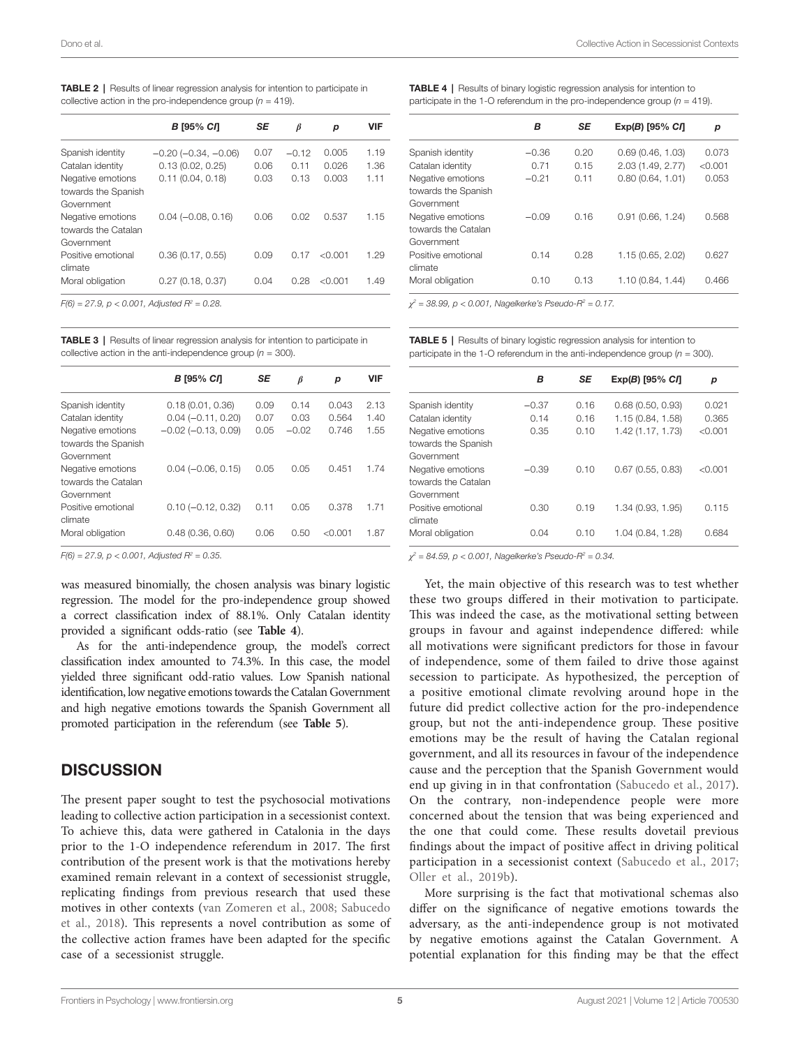<span id="page-4-0"></span>

| <b>TABLE 2</b>   Results of linear regression analysis for intention to participate in |
|----------------------------------------------------------------------------------------|
| collective action in the pro-independence group $(n = 419)$ .                          |

|                                                        | В [95% СЛ                | SE   | $\beta$ | р       | <b>VIF</b> |
|--------------------------------------------------------|--------------------------|------|---------|---------|------------|
| Spanish identity                                       | $-0.20$ $(-0.34, -0.06)$ | 0.07 | $-0.12$ | 0.005   | 1.19       |
| Catalan identity                                       | 0.13(0.02, 0.25)         | 0.06 | 0.11    | 0.026   | 1.36       |
| Negative emotions<br>towards the Spanish<br>Government | 0.11(0.04, 0.18)         | 0.03 | 0.13    | 0.003   | 1.11       |
| Negative emotions<br>towards the Catalan<br>Government | $0.04 (-0.08, 0.16)$     | 0.06 | 0.02    | 0.537   | 1.15       |
| Positive emotional<br>climate                          | 0.36(0.17, 0.55)         | 0.09 | 0.17    | < 0.001 | 1.29       |
| Moral obligation                                       | 0.27(0.18, 0.37)         | 0.04 | 0.28    | < 0.001 | 1.49       |
| $E(R) = 27.0 \text{ m} < 0.001$ Adjusted $D^2 = 0.29$  |                          |      |         |         |            |

 $F(6) = 27.9$ ,  $p < 0.001$ , Adjusted  $R^2 = 0.28$ .

<span id="page-4-1"></span>TABLE 3 | Results of linear regression analysis for intention to participate in collective action in the anti-independence group  $(n = 300)$ .

|                                                        | В [95% СЛ               | SE   | $\beta$ | р       | <b>VIF</b> |
|--------------------------------------------------------|-------------------------|------|---------|---------|------------|
| Spanish identity                                       | 0.18(0.01, 0.36)        | 0.09 | 0.14    | 0.043   | 2.13       |
| Catalan identity                                       | $0.04 (-0.11, 0.20)$    | 0.07 | 0.03    | 0.564   | 1.40       |
| Negative emotions<br>towards the Spanish<br>Government | $-0.02$ $(-0.13, 0.09)$ | 0.05 | $-0.02$ | 0.746   | 1.55       |
| Negative emotions<br>towards the Catalan<br>Government | $0.04 (-0.06, 0.15)$    | 0.05 | 0.05    | 0.451   | 1.74       |
| Positive emotional<br>climate                          | $0.10 (-0.12, 0.32)$    | 0.11 | 0.05    | 0.378   | 1.71       |
| Moral obligation                                       | 0.48(0.36, 0.60)        | 0.06 | 0.50    | < 0.001 | 1.87       |

*F(6) = 27.9, p < 0.001, Adjusted R2 = 0.35.*

was measured binomially, the chosen analysis was binary logistic regression. The model for the pro-independence group showed a correct classification index of 88.1%. Only Catalan identity provided a significant odds-ratio (see **[Table 4](#page-4-2)**).

As for the anti-independence group, the model's correct classification index amounted to 74.3%. In this case, the model yielded three significant odd-ratio values. Low Spanish national identification, low negative emotions towards the Catalan Government and high negative emotions towards the Spanish Government all promoted participation in the referendum (see **[Table 5](#page-4-3)**).

## **DISCUSSION**

The present paper sought to test the psychosocial motivations leading to collective action participation in a secessionist context. To achieve this, data were gathered in Catalonia in the days prior to the 1-O independence referendum in 2017. The first contribution of the present work is that the motivations hereby examined remain relevant in a context of secessionist struggle, replicating findings from previous research that used these motives in other contexts ([van Zomeren et al., 2008;](#page-7-19) [Sabucedo](#page-7-21)  [et al., 2018\)](#page-7-21). This represents a novel contribution as some of the collective action frames have been adapted for the specific case of a secessionist struggle.

<span id="page-4-2"></span>TABLE 4 | Results of binary logistic regression analysis for intention to participate in the 1-O referendum in the pro-independence group  $(n = 419)$ .

| в       | SE   | $Exp(B)$ [95% $C$ <i>I</i> ] | р       |
|---------|------|------------------------------|---------|
| $-0.36$ | 0.20 | 0.69(0.46, 1.03)             | 0.073   |
| O 71    | 0.15 | 2.03 (1.49, 2.77)            | < 0.001 |
| $-0.21$ | 011  | 0.80(0.64, 1.01)             | 0.053   |
|         |      |                              |         |
| $-0.09$ | 0.16 | 0.91(0.66, 1.24)             | 0.568   |
|         |      |                              |         |
| 0.14    | 0.28 | 1.15 (0.65, 2.02)            | 0.627   |
| 0.10    | 0.13 | 1.10 (0.84, 1.44)            | 0.466   |
|         |      |                              |         |

*χ2 = 38.99, p < 0.001, Nagelkerke's Pseudo-R2 = 0.17.*

<span id="page-4-3"></span>TABLE 5 | Results of binary logistic regression analysis for intention to participate in the 1-O referendum in the anti-independence group  $(n = 300)$ .

|                                                        | в       | SE   | $Exp(B)$ [95% $C/I$ ] | р       |
|--------------------------------------------------------|---------|------|-----------------------|---------|
| Spanish identity                                       | $-0.37$ | 0.16 | 0.68(0.50, 0.93)      | 0.021   |
| Catalan identity                                       | 0.14    | 0.16 | 1.15 (0.84, 1.58)     | 0.365   |
| Negative emotions<br>towards the Spanish<br>Government | 0.35    | 0.10 | 1.42 (1.17, 1.73)     | < 0.001 |
| Negative emotions<br>towards the Catalan<br>Government | $-0.39$ | 0.10 | $0.67$ (0.55, 0.83)   | < 0.001 |
| Positive emotional<br>climate                          | 0.30    | 0.19 | 1.34 (0.93, 1.95)     | 0.115   |
| Moral obligation                                       | 0.04    | 0.10 | 1.04 (0.84, 1.28)     | 0.684   |

*χ2 = 84.59, p < 0.001, Nagelkerke's Pseudo-R2 = 0.34.*

Yet, the main objective of this research was to test whether these two groups differed in their motivation to participate. This was indeed the case, as the motivational setting between groups in favour and against independence differed: while all motivations were significant predictors for those in favour of independence, some of them failed to drive those against secession to participate. As hypothesized, the perception of a positive emotional climate revolving around hope in the future did predict collective action for the pro-independence group, but not the anti-independence group. These positive emotions may be the result of having the Catalan regional government, and all its resources in favour of the independence cause and the perception that the Spanish Government would end up giving in in that confrontation ([Sabucedo et al., 2017](#page-7-9)). On the contrary, non-independence people were more concerned about the tension that was being experienced and the one that could come. These results dovetail previous findings about the impact of positive affect in driving political participation in a secessionist context ([Sabucedo et al., 2017;](#page-7-9) [Oller et al., 2019b\)](#page-7-35).

More surprising is the fact that motivational schemas also differ on the significance of negative emotions towards the adversary, as the anti-independence group is not motivated by negative emotions against the Catalan Government. A potential explanation for this finding may be that the effect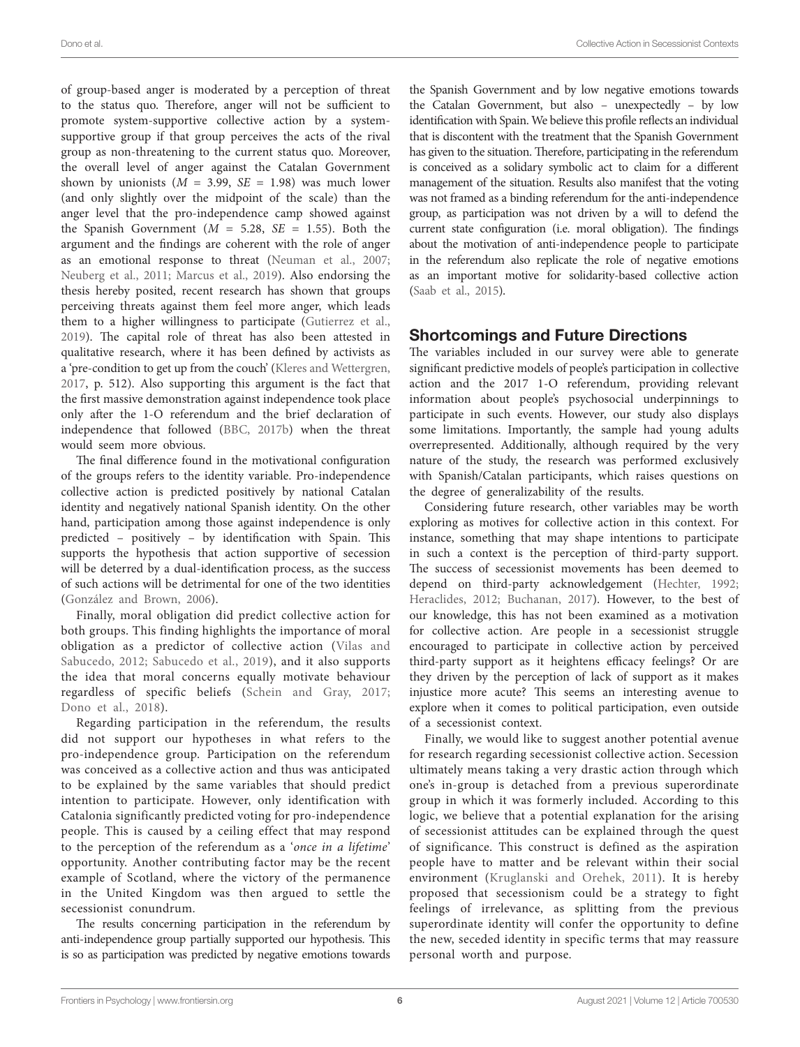of group-based anger is moderated by a perception of threat to the status quo. Therefore, anger will not be sufficient to promote system-supportive collective action by a systemsupportive group if that group perceives the acts of the rival group as non-threatening to the current status quo. Moreover, the overall level of anger against the Catalan Government shown by unionists  $(M = 3.99, SE = 1.98)$  was much lower (and only slightly over the midpoint of the scale) than the anger level that the pro-independence camp showed against the Spanish Government ( $M = 5.28$ ,  $SE = 1.55$ ). Both the argument and the findings are coherent with the role of anger as an emotional response to threat [\(Neuman et al., 2007](#page-7-36); [Neuberg et al., 2011](#page-7-37); [Marcus et al., 2019\)](#page-7-38). Also endorsing the thesis hereby posited, recent research has shown that groups perceiving threats against them feel more anger, which leads them to a higher willingness to participate [\(Gutierrez et al.,](#page-7-39)  [2019\)](#page-7-39). The capital role of threat has also been attested in qualitative research, where it has been defined by activists as a 'pre-condition to get up from the couch' ([Kleres and Wettergren,](#page-7-40)  [2017,](#page-7-40) p. 512). Also supporting this argument is the fact that the first massive demonstration against independence took place only after the 1-O referendum and the brief declaration of independence that followed [\(BBC, 2017b\)](#page-6-6) when the threat would seem more obvious.

The final difference found in the motivational configuration of the groups refers to the identity variable. Pro-independence collective action is predicted positively by national Catalan identity and negatively national Spanish identity. On the other hand, participation among those against independence is only predicted – positively – by identification with Spain. This supports the hypothesis that action supportive of secession will be deterred by a dual-identification process, as the success of such actions will be detrimental for one of the two identities ([González and Brown, 2006](#page-7-23)).

Finally, moral obligation did predict collective action for both groups. This finding highlights the importance of moral obligation as a predictor of collective action ([Vilas and](#page-8-0)  [Sabucedo, 2012;](#page-8-0) [Sabucedo et al., 2019](#page-7-22)), and it also supports the idea that moral concerns equally motivate behaviour regardless of specific beliefs [\(Schein and Gray, 2017](#page-7-41); [Dono et al., 2018](#page-7-42)).

Regarding participation in the referendum, the results did not support our hypotheses in what refers to the pro-independence group. Participation on the referendum was conceived as a collective action and thus was anticipated to be explained by the same variables that should predict intention to participate. However, only identification with Catalonia significantly predicted voting for pro-independence people. This is caused by a ceiling effect that may respond to the perception of the referendum as a '*once in a lifetime*' opportunity. Another contributing factor may be the recent example of Scotland, where the victory of the permanence in the United Kingdom was then argued to settle the secessionist conundrum.

The results concerning participation in the referendum by anti-independence group partially supported our hypothesis. This is so as participation was predicted by negative emotions towards

the Spanish Government and by low negative emotions towards the Catalan Government, but also – unexpectedly – by low identification with Spain. We believe this profile reflects an individual that is discontent with the treatment that the Spanish Government has given to the situation. Therefore, participating in the referendum is conceived as a solidary symbolic act to claim for a different management of the situation. Results also manifest that the voting was not framed as a binding referendum for the anti-independence group, as participation was not driven by a will to defend the current state configuration (i.e. moral obligation). The findings about the motivation of anti-independence people to participate in the referendum also replicate the role of negative emotions as an important motive for solidarity-based collective action [\(Saab et al., 2015](#page-7-30)).

# Shortcomings and Future Directions

The variables included in our survey were able to generate significant predictive models of people's participation in collective action and the 2017 1-O referendum, providing relevant information about people's psychosocial underpinnings to participate in such events. However, our study also displays some limitations. Importantly, the sample had young adults overrepresented. Additionally, although required by the very nature of the study, the research was performed exclusively with Spanish/Catalan participants, which raises questions on the degree of generalizability of the results.

Considering future research, other variables may be worth exploring as motives for collective action in this context. For instance, something that may shape intentions to participate in such a context is the perception of third-party support. The success of secessionist movements has been deemed to depend on third-party acknowledgement ([Hechter, 1992;](#page-7-5) [Heraclides, 2012](#page-7-43); [Buchanan, 2017](#page-6-9)). However, to the best of our knowledge, this has not been examined as a motivation for collective action. Are people in a secessionist struggle encouraged to participate in collective action by perceived third-party support as it heightens efficacy feelings? Or are they driven by the perception of lack of support as it makes injustice more acute? This seems an interesting avenue to explore when it comes to political participation, even outside of a secessionist context.

Finally, we would like to suggest another potential avenue for research regarding secessionist collective action. Secession ultimately means taking a very drastic action through which one's in-group is detached from a previous superordinate group in which it was formerly included. According to this logic, we believe that a potential explanation for the arising of secessionist attitudes can be explained through the quest of significance. This construct is defined as the aspiration people have to matter and be relevant within their social environment ([Kruglanski and Orehek, 2011](#page-7-44)). It is hereby proposed that secessionism could be a strategy to fight feelings of irrelevance, as splitting from the previous superordinate identity will confer the opportunity to define the new, seceded identity in specific terms that may reassure personal worth and purpose.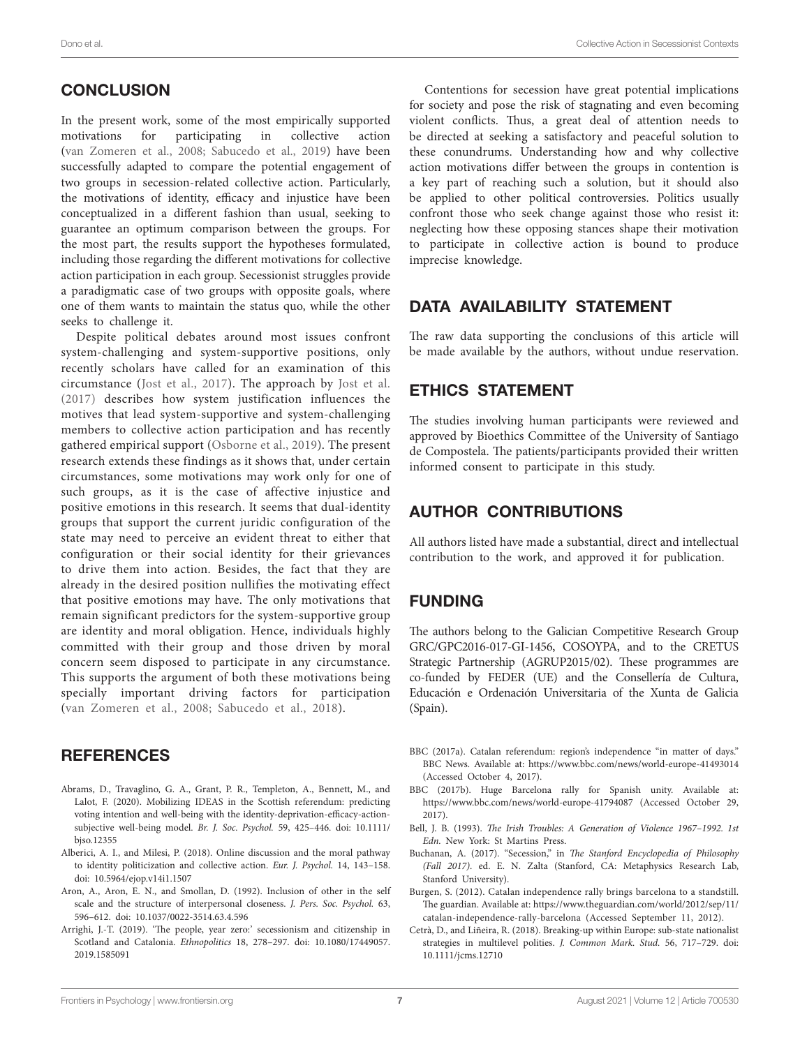# **CONCLUSION**

In the present work, some of the most empirically supported motivations for participating in collective action ([van Zomeren et al., 2008;](#page-7-19) [Sabucedo et al., 2019\)](#page-7-22) have been successfully adapted to compare the potential engagement of two groups in secession-related collective action. Particularly, the motivations of identity, efficacy and injustice have been conceptualized in a different fashion than usual, seeking to guarantee an optimum comparison between the groups. For the most part, the results support the hypotheses formulated, including those regarding the different motivations for collective action participation in each group. Secessionist struggles provide a paradigmatic case of two groups with opposite goals, where one of them wants to maintain the status quo, while the other seeks to challenge it.

Despite political debates around most issues confront system-challenging and system-supportive positions, only recently scholars have called for an examination of this circumstance [\(Jost et al., 2017](#page-7-13)). The approach by [Jost et al.](#page-7-13)  [\(2017\)](#page-7-13) describes how system justification influences the motives that lead system-supportive and system-challenging members to collective action participation and has recently gathered empirical support ([Osborne et al., 2019](#page-7-45)). The present research extends these findings as it shows that, under certain circumstances, some motivations may work only for one of such groups, as it is the case of affective injustice and positive emotions in this research. It seems that dual-identity groups that support the current juridic configuration of the state may need to perceive an evident threat to either that configuration or their social identity for their grievances to drive them into action. Besides, the fact that they are already in the desired position nullifies the motivating effect that positive emotions may have. The only motivations that remain significant predictors for the system-supportive group are identity and moral obligation. Hence, individuals highly committed with their group and those driven by moral concern seem disposed to participate in any circumstance. This supports the argument of both these motivations being specially important driving factors for participation ([van Zomeren et al., 2008](#page-7-19); [Sabucedo et al., 2018\)](#page-7-21).

## **REFERENCES**

- <span id="page-6-3"></span>Abrams, D., Travaglino, G. A., Grant, P. R., Templeton, A., Bennett, M., and Lalot, F. (2020). Mobilizing IDEAS in the Scottish referendum: predicting voting intention and well-being with the identity-deprivation-efficacy-actionsubjective well-being model. *Br. J. Soc. Psychol.* 59, 425–446. doi: [10.1111/](https://doi.org/10.1111/bjso.12355) [bjso.12355](https://doi.org/10.1111/bjso.12355)
- <span id="page-6-7"></span>Alberici, A. I., and Milesi, P. (2018). Online discussion and the moral pathway to identity politicization and collective action. *Eur. J. Psychol.* 14, 143–158. doi: [10.5964/ejop.v14i1.1507](https://doi.org/10.5964/ejop.v14i1.1507)
- <span id="page-6-8"></span>Aron, A., Aron, E. N., and Smollan, D. (1992). Inclusion of other in the self scale and the structure of interpersonal closeness. *J. Pers. Soc. Psychol.* 63, 596–612. doi: [10.1037/0022-3514.63.4.596](https://doi.org/10.1037/0022-3514.63.4.596)
- <span id="page-6-2"></span>Arrighi, J.-T. (2019). 'The people, year zero:' secessionism and citizenship in Scotland and Catalonia. *Ethnopolitics* 18, 278–297. doi: [10.1080/17449057.](https://doi.org/10.1080/17449057.2019.1585091) [2019.1585091](https://doi.org/10.1080/17449057.2019.1585091)

Contentions for secession have great potential implications for society and pose the risk of stagnating and even becoming violent conflicts. Thus, a great deal of attention needs to be directed at seeking a satisfactory and peaceful solution to these conundrums. Understanding how and why collective action motivations differ between the groups in contention is a key part of reaching such a solution, but it should also be applied to other political controversies. Politics usually confront those who seek change against those who resist it: neglecting how these opposing stances shape their motivation to participate in collective action is bound to produce imprecise knowledge.

# DATA AVAILABILITY STATEMENT

The raw data supporting the conclusions of this article will be made available by the authors, without undue reservation.

## ETHICS STATEMENT

The studies involving human participants were reviewed and approved by Bioethics Committee of the University of Santiago de Compostela. The patients/participants provided their written informed consent to participate in this study.

# AUTHOR CONTRIBUTIONS

All authors listed have made a substantial, direct and intellectual contribution to the work, and approved it for publication.

## FUNDING

The authors belong to the Galician Competitive Research Group GRC/GPC2016-017-GI-1456, COSOYPA, and to the CRETUS Strategic Partnership (AGRUP2015/02). These programmes are co-funded by FEDER (UE) and the Consellería de Cultura, Educación e Ordenación Universitaria of the Xunta de Galicia (Spain).

- <span id="page-6-4"></span>BBC (2017a). Catalan referendum: region's independence "in matter of days." BBC News. Available at: <https://www.bbc.com/news/world-europe-41493014> (Accessed October 4, 2017).
- <span id="page-6-6"></span>BBC (2017b). Huge Barcelona rally for Spanish unity. Available at: <https://www.bbc.com/news/world-europe-41794087> (Accessed October 29, 2017).
- <span id="page-6-0"></span>Bell, J. B. (1993). *The Irish Troubles: A Generation of Violence 1967–1992. 1st Edn.* New York: St Martins Press.
- <span id="page-6-9"></span>Buchanan, A. (2017). "Secession," in *The Stanford Encyclopedia of Philosophy (Fall 2017)*. ed. E. N. Zalta (Stanford, CA: Metaphysics Research Lab, Stanford University).
- <span id="page-6-5"></span>Burgen, S. (2012). Catalan independence rally brings barcelona to a standstill. The guardian. Available at: [https://www.theguardian.com/world/2012/sep/11/](https://www.theguardian.com/world/2012/sep/11/catalan-independence-rally-barcelona) [catalan-independence-rally-barcelona](https://www.theguardian.com/world/2012/sep/11/catalan-independence-rally-barcelona) (Accessed September 11, 2012).
- <span id="page-6-1"></span>Cetrà, D., and Liñeira, R. (2018). Breaking-up within Europe: sub-state nationalist strategies in multilevel polities. *J. Common Mark. Stud.* 56, 717–729. doi: [10.1111/jcms.12710](https://doi.org/10.1111/jcms.12710)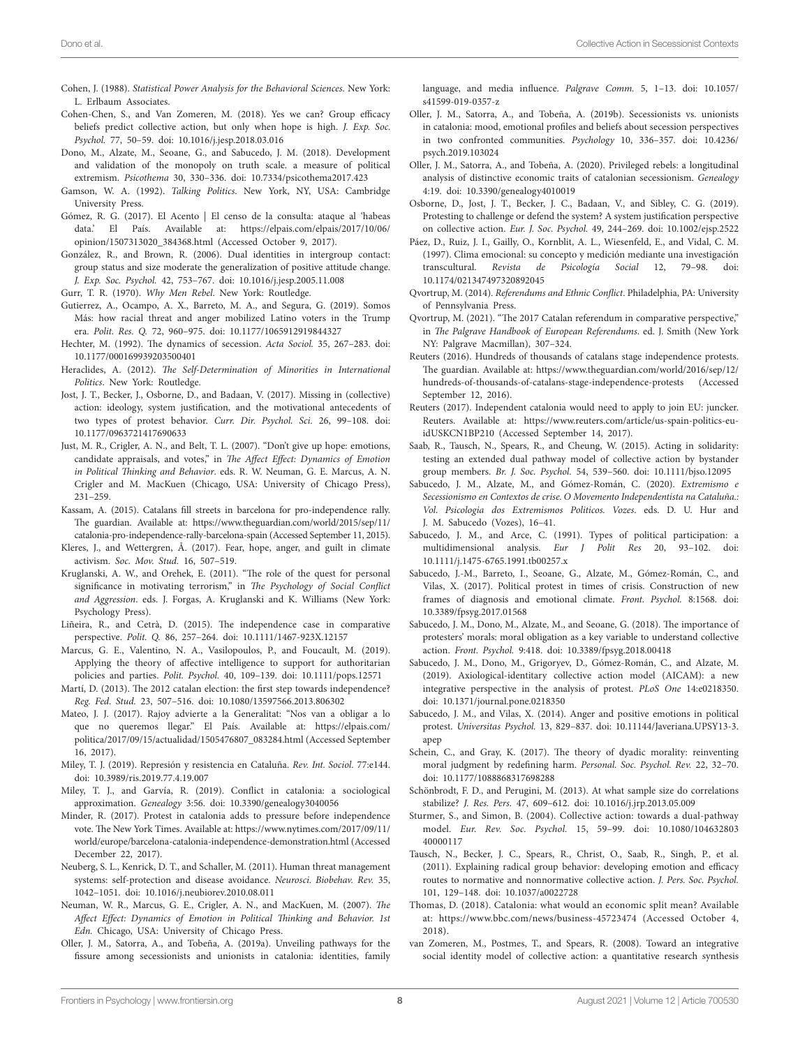- <span id="page-7-34"></span>Cohen, J. (1988). *Statistical Power Analysis for the Behavioral Sciences*. New York: L. Erlbaum Associates.
- <span id="page-7-29"></span>Cohen-Chen, S., and Van Zomeren, M. (2018). Yes we can? Group efficacy beliefs predict collective action, but only when hope is high. *J. Exp. Soc. Psychol.* 77, 50–59. doi: [10.1016/j.jesp.2018.03.016](https://doi.org/10.1016/j.jesp.2018.03.016)
- <span id="page-7-42"></span>Dono, M., Alzate, M., Seoane, G., and Sabucedo, J. M. (2018). Development and validation of the monopoly on truth scale. a measure of political extremism. *Psicothema* 30, 330–336. doi: [10.7334/psicothema2017.423](https://doi.org/10.7334/psicothema2017.423)
- <span id="page-7-17"></span>Gamson, W. A. (1992). *Talking Politics*. New York, NY, USA: Cambridge University Press.
- <span id="page-7-7"></span>Gómez, R. G. (2017). El Acento | El censo de la consulta: ataque al 'habeas data.' El País. Available at: [https://elpais.com/elpais/2017/10/06/](https://elpais.com/elpais/2017/10/06/opinion/1507313020_384368.html) [opinion/1507313020\\_384368.html](https://elpais.com/elpais/2017/10/06/opinion/1507313020_384368.html) (Accessed October 9, 2017).
- <span id="page-7-23"></span>González, R., and Brown, R. (2006). Dual identities in intergroup contact: group status and size moderate the generalization of positive attitude change. *J. Exp. Soc. Psychol.* 42, 753–767. doi: [10.1016/j.jesp.2005.11.008](https://doi.org/10.1016/j.jesp.2005.11.008)
- <span id="page-7-25"></span>Gurr, T. R. (1970). *Why Men Rebel*. New York: Routledge.
- <span id="page-7-39"></span>Gutierrez, A., Ocampo, A. X., Barreto, M. A., and Segura, G. (2019). Somos Más: how racial threat and anger mobilized Latino voters in the Trump era. *Polit. Res. Q.* 72, 960–975. doi: [10.1177/1065912919844327](https://doi.org/10.1177/1065912919844327)
- <span id="page-7-5"></span>Hechter, M. (1992). The dynamics of secession. *Acta Sociol.* 35, 267–283. doi: [10.1177/000169939203500401](https://doi.org/10.1177/000169939203500401)
- <span id="page-7-43"></span>Heraclides, A. (2012). *The Self-Determination of Minorities in International Politics*. New York: Routledge.
- <span id="page-7-13"></span>Jost, J. T., Becker, J., Osborne, D., and Badaan, V. (2017). Missing in (collective) action: ideology, system justification, and the motivational antecedents of two types of protest behavior. *Curr. Dir. Psychol. Sci.* 26, 99–108. doi: [10.1177/0963721417690633](https://doi.org/10.1177/0963721417690633)
- <span id="page-7-27"></span>Just, M. R., Crigler, A. N., and Belt, T. L. (2007). "Don't give up hope: emotions, candidate appraisals, and votes," in *The Affect Effect: Dynamics of Emotion in Political Thinking and Behavior*. eds. R. W. Neuman, G. E. Marcus, A. N. Crigler and M. MacKuen (Chicago, USA: University of Chicago Press), 231–259.
- <span id="page-7-14"></span>Kassam, A. (2015). Catalans fill streets in barcelona for pro-independence rally. The guardian. Available at: [https://www.theguardian.com/world/2015/sep/11/](https://www.theguardian.com/world/2015/sep/11/catalonia-pro-independence-rally-barcelona-spain) [catalonia-pro-independence-rally-barcelona-spain](https://www.theguardian.com/world/2015/sep/11/catalonia-pro-independence-rally-barcelona-spain) (Accessed September 11, 2015).
- <span id="page-7-40"></span>Kleres, J., and Wettergren, Å. (2017). Fear, hope, anger, and guilt in climate activism. *Soc. Mov. Stud.* 16, 507–519.
- <span id="page-7-44"></span>Kruglanski, A. W., and Orehek, E. (2011). "The role of the quest for personal significance in motivating terrorism," in *The Psychology of Social Conflict and Aggression*. eds. J. Forgas, A. Kruglanski and K. Williams (New York: Psychology Press).
- <span id="page-7-24"></span>Liñeira, R., and Cetrà, D. (2015). The independence case in comparative perspective. *Polit. Q.* 86, 257–264. doi: [10.1111/1467-923X.12157](https://doi.org/10.1111/1467-923X.12157)
- <span id="page-7-38"></span>Marcus, G. E., Valentino, N. A., Vasilopoulos, P., and Foucault, M. (2019). Applying the theory of affective intelligence to support for authoritarian policies and parties. *Polit. Psychol.* 40, 109–139. doi: [10.1111/pops.12571](https://doi.org/10.1111/pops.12571)
- <span id="page-7-0"></span>Martí, D. (2013). The 2012 catalan election: the first step towards independence? *Reg. Fed. Stud.* 23, 507–516. doi: [10.1080/13597566.2013.806302](https://doi.org/10.1080/13597566.2013.806302)
- <span id="page-7-8"></span>Mateo, J. J. (2017). Rajoy advierte a la Generalitat: "Nos van a obligar a lo que no queremos llegar." El País. Available at: [https://elpais.com/](https://elpais.com/politica/2017/09/15/actualidad/1505476807_083284.html) [politica/2017/09/15/actualidad/1505476807\\_083284.html](https://elpais.com/politica/2017/09/15/actualidad/1505476807_083284.html) (Accessed September 16, 2017).
- <span id="page-7-10"></span>Miley, T. J. (2019). Represión y resistencia en Cataluña. *Rev. Int. Sociol.* 77:e144. doi: [10.3989/ris.2019.77.4.19.007](https://doi.org/10.3989/ris.2019.77.4.19.007)
- <span id="page-7-11"></span>Miley, T. J., and Garvía, R. (2019). Conflict in catalonia: a sociological approximation. *Genealogy* 3:56. doi: [10.3390/genealogy3040056](https://doi.org/10.3390/genealogy3040056)
- <span id="page-7-16"></span>Minder, R. (2017). Protest in catalonia adds to pressure before independence vote. The New York Times. Available at: [https://www.nytimes.com/2017/09/11/](https://www.nytimes.com/2017/09/11/world/europe/barcelona-catalonia-independence-demonstration.html) [world/europe/barcelona-catalonia-independence-demonstration.html](https://www.nytimes.com/2017/09/11/world/europe/barcelona-catalonia-independence-demonstration.html) (Accessed December 22, 2017).
- <span id="page-7-37"></span>Neuberg, S. L., Kenrick, D. T., and Schaller, M. (2011). Human threat management systems: self-protection and disease avoidance. *Neurosci. Biobehav. Rev.* 35, 1042–1051. doi: [10.1016/j.neubiorev.2010.08.011](https://doi.org/10.1016/j.neubiorev.2010.08.011)
- <span id="page-7-36"></span>Neuman, W. R., Marcus, G. E., Crigler, A. N., and MacKuen, M. (2007). *The Affect Effect: Dynamics of Emotion in Political Thinking and Behavior. 1st Edn.* Chicago, USA: University of Chicago Press.
- <span id="page-7-26"></span>Oller, J. M., Satorra, A., and Tobeña, A. (2019a). Unveiling pathways for the fissure among secessionists and unionists in catalonia: identities, family

language, and media influence. *Palgrave Comm.* 5, 1–13. doi: [10.1057/](https://doi.org/10.1057/s41599-019-0357-z) [s41599-019-0357-z](https://doi.org/10.1057/s41599-019-0357-z)

- <span id="page-7-35"></span>Oller, J. M., Satorra, A., and Tobeña, A. (2019b). Secessionists vs. unionists in catalonia: mood, emotional profiles and beliefs about secession perspectives in two confronted communities. *Psychology* 10, 336–357. doi: [10.4236/](https://doi.org/10.4236/psych.2019.103024) [psych.2019.103024](https://doi.org/10.4236/psych.2019.103024)
- <span id="page-7-12"></span>Oller, J. M., Satorra, A., and Tobeña, A. (2020). Privileged rebels: a longitudinal analysis of distinctive economic traits of catalonian secessionism. *Genealogy* 4:19. doi: [10.3390/genealogy4010019](https://doi.org/10.3390/genealogy4010019)
- <span id="page-7-45"></span>Osborne, D., Jost, J. T., Becker, J. C., Badaan, V., and Sibley, C. G. (2019). Protesting to challenge or defend the system? A system justification perspective on collective action. *Eur. J. Soc. Psychol.* 49, 244–269. doi: [10.1002/ejsp.2522](https://doi.org/10.1002/ejsp.2522)
- <span id="page-7-32"></span>Páez, D., Ruiz, J. I., Gailly, O., Kornblit, A. L., Wiesenfeld, E., and Vidal, C. M. (1997). Clima emocional: su concepto y medición mediante una investigación transcultural. *Revista de Psicología Social* 12, 79–98. doi: [10.1174/021347497320892045](https://doi.org/10.1174/021347497320892045)
- <span id="page-7-3"></span>Qvortrup, M. (2014). *Referendums and Ethnic Conflict*. Philadelphia, PA: University of Pennsylvania Press.
- <span id="page-7-1"></span>Qvortrup, M. (2021). "The 2017 Catalan referendum in comparative perspective," in *The Palgrave Handbook of European Referendums*. ed. J. Smith (New York NY: Palgrave Macmillan), 307–324.
- <span id="page-7-15"></span>Reuters (2016). Hundreds of thousands of catalans stage independence protests. The guardian. Available at: [https://www.theguardian.com/world/2016/sep/12/](https://www.theguardian.com/world/2016/sep/12/hundreds-of-thousands-of-catalans-stage-independence-protests) [hundreds-of-thousands-of-catalans-stage-independence-protests](https://www.theguardian.com/world/2016/sep/12/hundreds-of-thousands-of-catalans-stage-independence-protests) (Accessed September 12, 2016).
- <span id="page-7-4"></span>Reuters (2017). Independent catalonia would need to apply to join EU: juncker. Reuters. Available at: [https://www.reuters.com/article/us-spain-politics-eu](https://www.reuters.com/article/us-spain-politics-eu-idUSKCN1BP210)[idUSKCN1BP210](https://www.reuters.com/article/us-spain-politics-eu-idUSKCN1BP210) (Accessed September 14, 2017).
- <span id="page-7-30"></span>Saab, R., Tausch, N., Spears, R., and Cheung, W. (2015). Acting in solidarity: testing an extended dual pathway model of collective action by bystander group members. *Br. J. Soc. Psychol.* 54, 539–560. doi: [10.1111/bjso.12095](https://doi.org/10.1111/bjso.12095)
- <span id="page-7-6"></span>Sabucedo, J. M., Alzate, M., and Gómez-Román, C. (2020). *Extremismo e Secessionismo en Contextos de crise. O Movemento Independentista na Cataluña.: Vol. Psicologia dos Extremismos Politicos. Vozes*. eds. D. U. Hur and J. M. Sabucedo (Vozes), 16–41.
- <span id="page-7-33"></span>Sabucedo, J. M., and Arce, C. (1991). Types of political participation: a multidimensional analysis. *Eur J Polit Res* 20, 93–102. doi: [10.1111/j.1475-6765.1991.tb00257.x](https://doi.org/10.1111/j.1475-6765.1991.tb00257.x)
- <span id="page-7-9"></span>Sabucedo, J.-M., Barreto, I., Seoane, G., Alzate, M., Gómez-Román, C., and Vilas, X. (2017). Political protest in times of crisis. Construction of new frames of diagnosis and emotional climate. *Front. Psychol.* 8:1568. doi: [10.3389/fpsyg.2017.01568](https://doi.org/10.3389/fpsyg.2017.01568)
- <span id="page-7-21"></span>Sabucedo, J. M., Dono, M., Alzate, M., and Seoane, G. (2018). The importance of protesters' morals: moral obligation as a key variable to understand collective action. *Front. Psychol.* 9:418. doi: [10.3389/fpsyg.2018.00418](https://doi.org/10.3389/fpsyg.2018.00418)
- <span id="page-7-22"></span>Sabucedo, J. M., Dono, M., Grigoryev, D., Gómez-Román, C., and Alzate, M. (2019). Axiological-identitary collective action model (AICAM): a new integrative perspective in the analysis of protest. *PLoS One* 14:e0218350. doi: [10.1371/journal.pone.0218350](https://doi.org/10.1371/journal.pone.0218350)
- <span id="page-7-28"></span>Sabucedo, J. M., and Vilas, X. (2014). Anger and positive emotions in political protest. *Universitas Psychol.* 13, 829–837. doi: [10.11144/Javeriana.UPSY13-3.](https://doi.org/10.11144/Javeriana.UPSY13-3.apep) [apep](https://doi.org/10.11144/Javeriana.UPSY13-3.apep)
- <span id="page-7-41"></span>Schein, C., and Gray, K. (2017). The theory of dyadic morality: reinventing moral judgment by redefining harm. *Personal. Soc. Psychol. Rev.* 22, 32–70. doi: [10.1177/1088868317698288](https://doi.org/10.1177/1088868317698288)
- <span id="page-7-31"></span>Schönbrodt, F. D., and Perugini, M. (2013). At what sample size do correlations stabilize? *J. Res. Pers.* 47, 609–612. doi: [10.1016/j.jrp.2013.05.009](https://doi.org/10.1016/j.jrp.2013.05.009)
- <span id="page-7-18"></span>Sturmer, S., and Simon, B. (2004). Collective action: towards a dual-pathway model. *Eur. Rev. Soc. Psychol.* 15, 59–99. doi: [10.1080/104632803](https://doi.org/10.1080/10463280340000117) [40000117](https://doi.org/10.1080/10463280340000117)
- <span id="page-7-20"></span>Tausch, N., Becker, J. C., Spears, R., Christ, O., Saab, R., Singh, P., et al. (2011). Explaining radical group behavior: developing emotion and efficacy routes to normative and nonnormative collective action. *J. Pers. Soc. Psychol.* 101, 129–148. doi: [10.1037/a0022728](https://doi.org/10.1037/a0022728)
- <span id="page-7-2"></span>Thomas, D. (2018). Catalonia: what would an economic split mean? Available at: <https://www.bbc.com/news/business-45723474>(Accessed October 4, 2018).
- <span id="page-7-19"></span>van Zomeren, M., Postmes, T., and Spears, R. (2008). Toward an integrative social identity model of collective action: a quantitative research synthesis